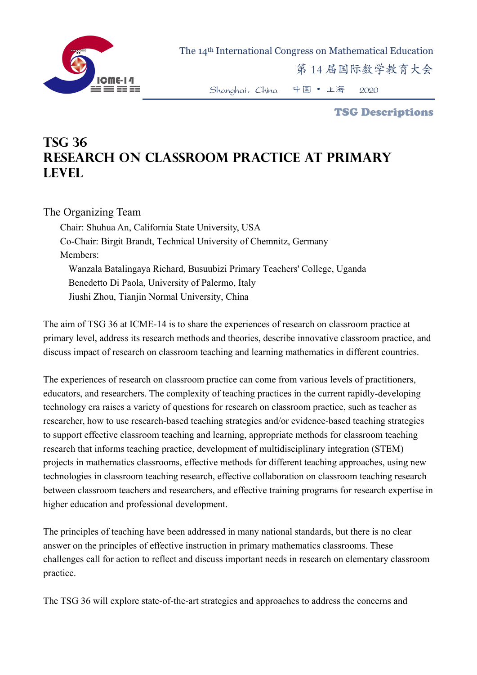

The 14th International Congress on Mathematical Education

第 14 届国际数学教育大会

Shanghai,China 中国 • 上海 2020

TSG Descriptions

## **TSG 36 Research on Classroom Practice at Primary Level**

## The Organizing Team

Chair: Shuhua An, California State University, USA Co-Chair: Birgit Brandt, Technical University of Chemnitz, Germany Members: Wanzala Batalingaya Richard, Busuubizi Primary Teachers' College, Uganda Benedetto Di Paola, University of Palermo, Italy Jiushi Zhou, Tianjin Normal University, China

The aim of TSG 36 at ICME-14 is to share the experiences of research on classroom practice at primary level, address its research methods and theories, describe innovative classroom practice, and discuss impact of research on classroom teaching and learning mathematics in different countries.

The experiences of research on classroom practice can come from various levels of practitioners, educators, and researchers. The complexity of teaching practices in the current rapidly-developing technology era raises a variety of questions for research on classroom practice, such as teacher as researcher, how to use research-based teaching strategies and/or evidence-based teaching strategies to support effective classroom teaching and learning, appropriate methods for classroom teaching research that informs teaching practice, development of multidisciplinary integration (STEM) projects in mathematics classrooms, effective methods for different teaching approaches, using new technologies in classroom teaching research, effective collaboration on classroom teaching research between classroom teachers and researchers, and effective training programs for research expertise in higher education and professional development.

The principles of teaching have been addressed in many national standards, but there is no clear answer on the principles of effective instruction in primary mathematics classrooms. These challenges call for action to reflect and discuss important needs in research on elementary classroom practice.

The TSG 36 will explore state-of-the-art strategies and approaches to address the concerns and